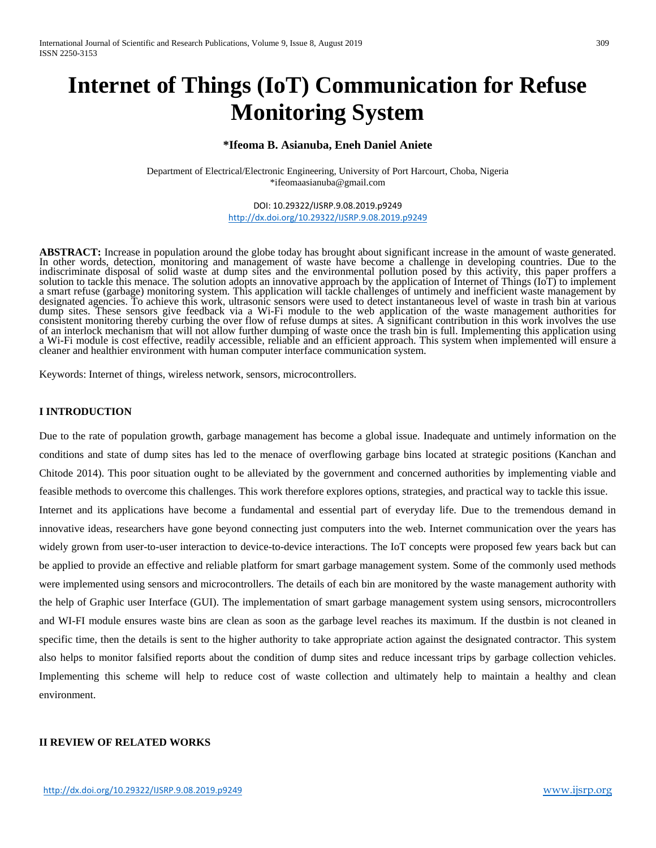# **Internet of Things (IoT) Communication for Refuse Monitoring System**

### **\*Ifeoma B. Asianuba, Eneh Daniel Aniete**

Department of Electrical/Electronic Engineering, University of Port Harcourt, Choba, Nigeria [\\*ifeomaasianuba@gmail.com](mailto:ifeomaasianuba@gmail.com)

> DOI: 10.29322/IJSRP.9.08.2019.p9249 <http://dx.doi.org/10.29322/IJSRP.9.08.2019.p9249>

**ABSTRACT:** Increase in population around the globe today has brought about significant increase in the amount of waste generated. In other words, detection, monitoring and management of waste have become a challenge in developing countries. Due to the indiscriminate disposal of solid waste at dump sites and the environmental pollution posed by this activity, this paper proffers a solution to tackle this menace. The solution adopts an innovative approach by the application of Internet of Things (IoT) to implement a smart refuse (garbage) monitoring system. This application will tackle challenges of untimely and inefficient waste management by designated agencies. To achieve this work, ultrasonic sensors were used to detect instantaneous level of waste in trash bin at various dump sites. These sensors give feedback via a Wi-Fi module to the web application of the waste management authorities for consistent monitoring thereby curbing the over flow of refuse dumps at sites. A significant contribution in this work involves the use of an interlock mechanism that will not allow further dumping of waste once the trash bin is full. Implementing this application using a Wi-Fi module is cost effective, readily accessible, reliable and an efficient approach. This system when implemented will ensure a cleaner and healthier environment with human computer interface communication system.

Keywords: Internet of things, wireless network, sensors, microcontrollers.

## **I INTRODUCTION**

Due to the rate of population growth, garbage management has become a global issue. Inadequate and untimely information on the conditions and state of dump sites has led to the menace of overflowing garbage bins located at strategic positions (Kanchan and Chitode 2014). This poor situation ought to be alleviated by the government and concerned authorities by implementing viable and feasible methods to overcome this challenges. This work therefore explores options, strategies, and practical way to tackle this issue. Internet and its applications have become a fundamental and essential part of everyday life. Due to the tremendous demand in innovative ideas, researchers have gone beyond connecting just computers into the web. Internet communication over the years has

widely grown from user-to-user interaction to device-to-device interactions. The IoT concepts were proposed few years back but can be applied to provide an effective and reliable platform for smart garbage management system. Some of the commonly used methods were implemented using sensors and microcontrollers. The details of each bin are monitored by the waste management authority with the help of Graphic user Interface (GUI). The implementation of smart garbage management system using sensors, microcontrollers and WI-FI module ensures waste bins are clean as soon as the garbage level reaches its maximum. If the dustbin is not cleaned in specific time, then the details is sent to the higher authority to take appropriate action against the designated contractor. This system also helps to monitor falsified reports about the condition of dump sites and reduce incessant trips by garbage collection vehicles. Implementing this scheme will help to reduce cost of waste collection and ultimately help to maintain a healthy and clean environment.

## **II REVIEW OF RELATED WORKS**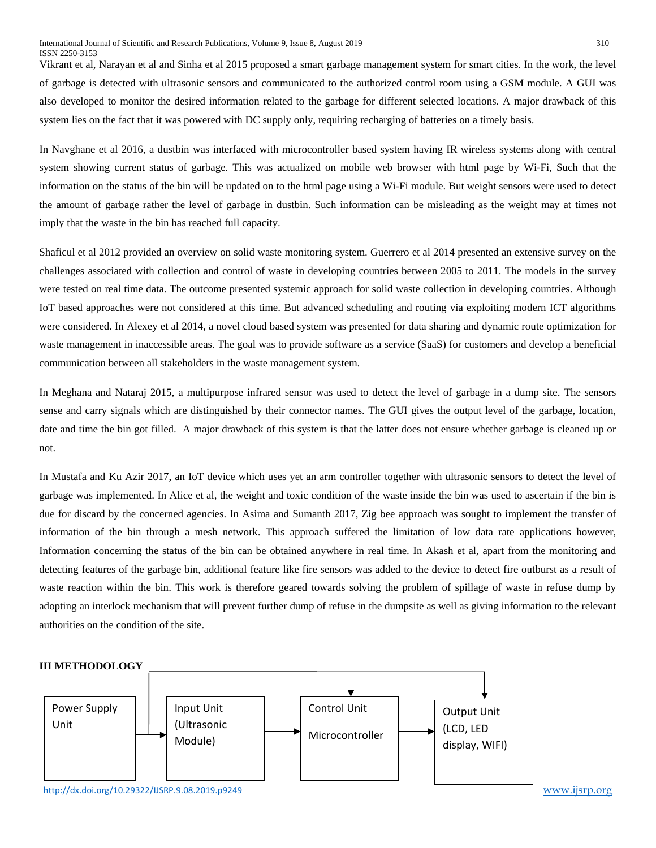Vikrant et al, Narayan et al and Sinha et al 2015 proposed a smart garbage management system for smart cities. In the work, the level of garbage is detected with ultrasonic sensors and communicated to the authorized control room using a GSM module. A GUI was also developed to monitor the desired information related to the garbage for different selected locations. A major drawback of this system lies on the fact that it was powered with DC supply only, requiring recharging of batteries on a timely basis.

In Navghane et al 2016, a dustbin was interfaced with microcontroller based system having IR wireless systems along with central system showing current status of garbage. This was actualized on mobile web browser with html page by Wi-Fi, Such that the information on the status of the bin will be updated on to the html page using a Wi-Fi module. But weight sensors were used to detect the amount of garbage rather the level of garbage in dustbin. Such information can be misleading as the weight may at times not imply that the waste in the bin has reached full capacity.

Shaficul et al 2012 provided an overview on solid waste monitoring system. Guerrero et al 2014 presented an extensive survey on the challenges associated with collection and control of waste in developing countries between 2005 to 2011. The models in the survey were tested on real time data. The outcome presented systemic approach for solid waste collection in developing countries. Although IoT based approaches were not considered at this time. But advanced scheduling and routing via exploiting modern ICT algorithms were considered. In Alexey et al 2014, a novel cloud based system was presented for data sharing and dynamic route optimization for waste management in inaccessible areas. The goal was to provide software as a service (SaaS) for customers and develop a beneficial communication between all stakeholders in the waste management system.

In Meghana and Nataraj 2015, a multipurpose infrared sensor was used to detect the level of garbage in a dump site. The sensors sense and carry signals which are distinguished by their connector names. The GUI gives the output level of the garbage, location, date and time the bin got filled. A major drawback of this system is that the latter does not ensure whether garbage is cleaned up or not.

In Mustafa and Ku Azir 2017, an IoT device which uses yet an arm controller together with ultrasonic sensors to detect the level of garbage was implemented. In Alice et al, the weight and toxic condition of the waste inside the bin was used to ascertain if the bin is due for discard by the concerned agencies. In Asima and Sumanth 2017, Zig bee approach was sought to implement the transfer of information of the bin through a mesh network. This approach suffered the limitation of low data rate applications however, Information concerning the status of the bin can be obtained anywhere in real time. In Akash et al, apart from the monitoring and detecting features of the garbage bin, additional feature like fire sensors was added to the device to detect fire outburst as a result of waste reaction within the bin. This work is therefore geared towards solving the problem of spillage of waste in refuse dump by adopting an interlock mechanism that will prevent further dump of refuse in the dumpsite as well as giving information to the relevant authorities on the condition of the site.

# **III METHODOLOGY**

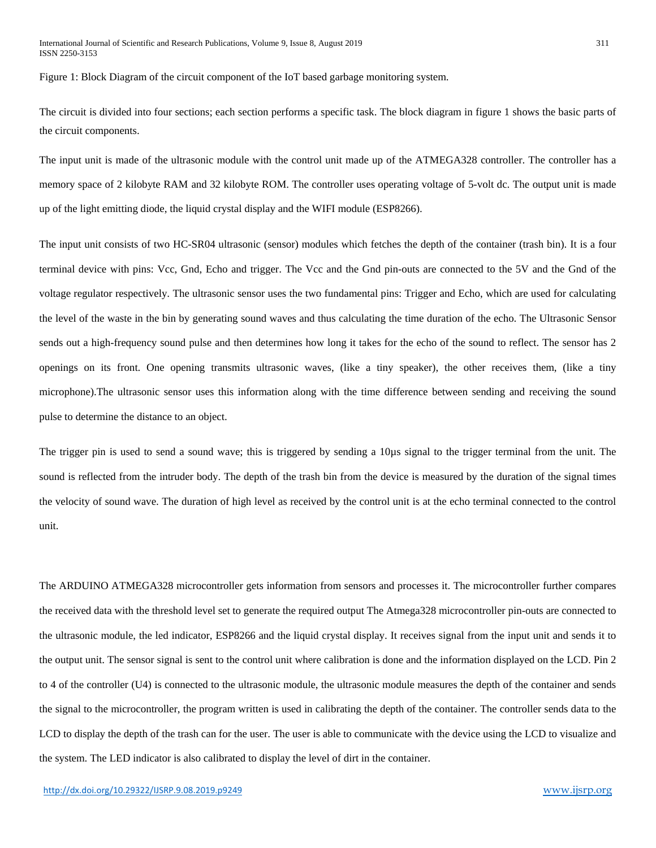Figure 1: Block Diagram of the circuit component of the IoT based garbage monitoring system.

The circuit is divided into four sections; each section performs a specific task. The block diagram in figure 1 shows the basic parts of the circuit components.

The input unit is made of the ultrasonic module with the control unit made up of the ATMEGA328 controller. The controller has a memory space of 2 kilobyte RAM and 32 kilobyte ROM. The controller uses operating voltage of 5-volt dc. The output unit is made up of the light emitting diode, the liquid crystal display and the WIFI module (ESP8266).

The input unit consists of two HC-SR04 ultrasonic (sensor) modules which fetches the depth of the container (trash bin). It is a four terminal device with pins: Vcc, Gnd, Echo and trigger. The Vcc and the Gnd pin-outs are connected to the 5V and the Gnd of the voltage regulator respectively. The ultrasonic sensor uses the two fundamental pins: Trigger and Echo, which are used for calculating the level of the waste in the bin by generating sound waves and thus calculating the time duration of the echo. The Ultrasonic Sensor sends out a high-frequency sound pulse and then determines how long it takes for the echo of the sound to reflect. The sensor has 2 openings on its front. One opening transmits ultrasonic waves, (like a tiny speaker), the other receives them, (like a tiny microphone).The ultrasonic sensor uses this information along with the time difference between sending and receiving the sound pulse to determine the distance to an object.

The trigger pin is used to send a sound wave; this is triggered by sending a 10µs signal to the trigger terminal from the unit. The sound is reflected from the intruder body. The depth of the trash bin from the device is measured by the duration of the signal times the velocity of sound wave. The duration of high level as received by the control unit is at the echo terminal connected to the control unit.

The ARDUINO ATMEGA328 microcontroller gets information from sensors and processes it. The microcontroller further compares the received data with the threshold level set to generate the required output The Atmega328 microcontroller pin-outs are connected to the ultrasonic module, the led indicator, ESP8266 and the liquid crystal display. It receives signal from the input unit and sends it to the output unit. The sensor signal is sent to the control unit where calibration is done and the information displayed on the LCD. Pin 2 to 4 of the controller (U4) is connected to the ultrasonic module, the ultrasonic module measures the depth of the container and sends the signal to the microcontroller, the program written is used in calibrating the depth of the container. The controller sends data to the LCD to display the depth of the trash can for the user. The user is able to communicate with the device using the LCD to visualize and the system. The LED indicator is also calibrated to display the level of dirt in the container.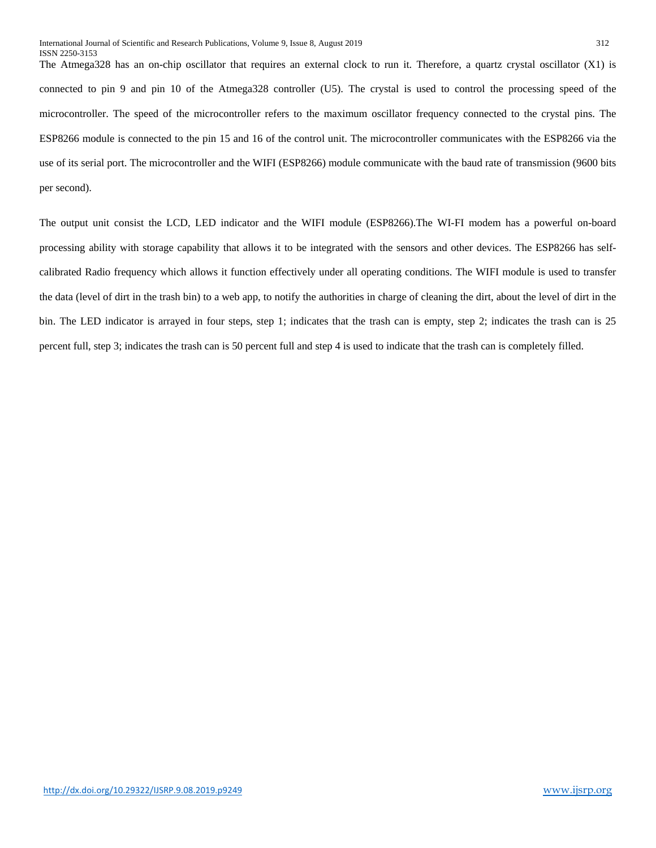The Atmega328 has an on-chip oscillator that requires an external clock to run it. Therefore, a quartz crystal oscillator (X1) is connected to pin 9 and pin 10 of the Atmega328 controller (U5). The crystal is used to control the processing speed of the microcontroller. The speed of the microcontroller refers to the maximum oscillator frequency connected to the crystal pins. The ESP8266 module is connected to the pin 15 and 16 of the control unit. The microcontroller communicates with the ESP8266 via the use of its serial port. The microcontroller and the WIFI (ESP8266) module communicate with the baud rate of transmission (9600 bits per second).

The output unit consist the LCD, LED indicator and the WIFI module (ESP8266).The WI-FI modem has a powerful on-board processing ability with storage capability that allows it to be integrated with the sensors and other devices. The ESP8266 has selfcalibrated Radio frequency which allows it function effectively under all operating conditions. The WIFI module is used to transfer the data (level of dirt in the trash bin) to a web app, to notify the authorities in charge of cleaning the dirt, about the level of dirt in the bin. The LED indicator is arrayed in four steps, step 1; indicates that the trash can is empty, step 2; indicates the trash can is 25 percent full, step 3; indicates the trash can is 50 percent full and step 4 is used to indicate that the trash can is completely filled.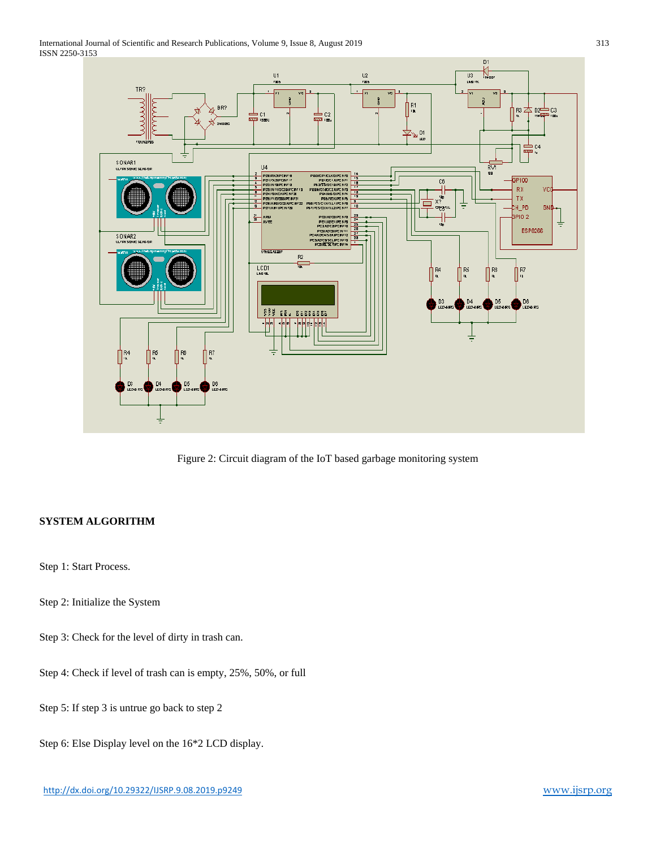International Journal of Scientific and Research Publications, Volume 9, Issue 8, August 2019 313 ISSN 2250-3153



Figure 2: Circuit diagram of the IoT based garbage monitoring system

# **SYSTEM ALGORITHM**

Step 1: Start Process.

Step 2: Initialize the System

Step 3: Check for the level of dirty in trash can.

Step 4: Check if level of trash can is empty, 25%, 50%, or full

Step 5: If step 3 is untrue go back to step 2

Step 6: Else Display level on the 16\*2 LCD display.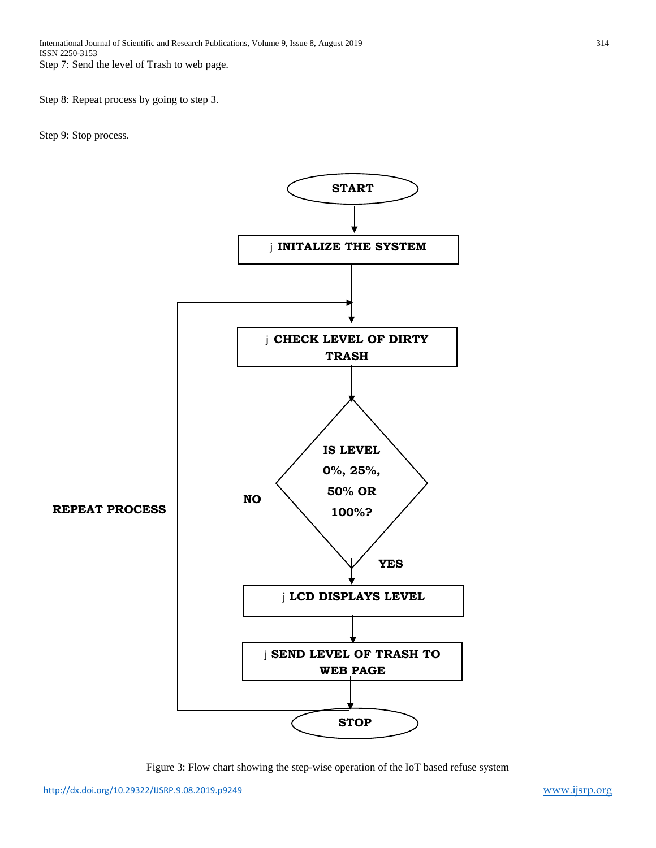Step 8: Repeat process by going to step 3.

Step 9: Stop process.



Figure 3: Flow chart showing the step-wise operation of the IoT based refuse system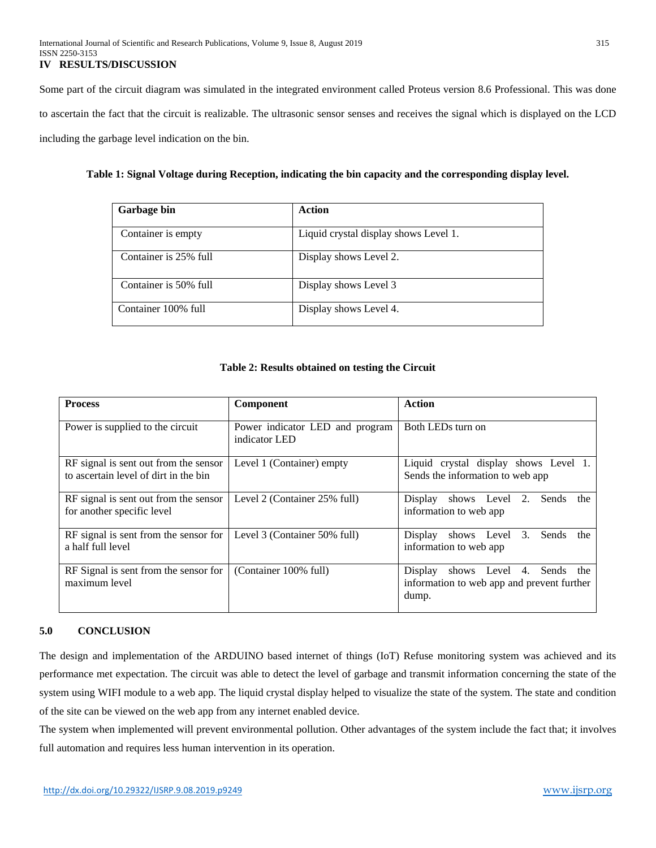Some part of the circuit diagram was simulated in the integrated environment called Proteus version 8.6 Professional. This was done to ascertain the fact that the circuit is realizable. The ultrasonic sensor senses and receives the signal which is displayed on the LCD including the garbage level indication on the bin.

## **Table 1: Signal Voltage during Reception, indicating the bin capacity and the corresponding display level.**

| <b>Garbage bin</b>    | Action                                |
|-----------------------|---------------------------------------|
| Container is empty    | Liquid crystal display shows Level 1. |
| Container is 25% full | Display shows Level 2.                |
| Container is 50% full | Display shows Level 3                 |
| Container 100% full   | Display shows Level 4.                |

### **Table 2: Results obtained on testing the Circuit**

| <b>Process</b>                                                                 | Component                                        | Action                                                                                        |
|--------------------------------------------------------------------------------|--------------------------------------------------|-----------------------------------------------------------------------------------------------|
| Power is supplied to the circuit                                               | Power indicator LED and program<br>indicator LED | Both LEDs turn on                                                                             |
| RF signal is sent out from the sensor<br>to ascertain level of dirt in the bin | Level 1 (Container) empty                        | Liquid crystal display shows Level 1.<br>Sends the information to web app                     |
| RF signal is sent out from the sensor<br>for another specific level            | Level 2 (Container 25% full)                     | Display<br>shows Level 2.<br>Sends<br>the<br>information to web app                           |
| RF signal is sent from the sensor for<br>a half full level                     | Level 3 (Container 50% full)                     | Display<br>Sends<br>shows Level 3.<br>the<br>information to web app                           |
| RF Signal is sent from the sensor for<br>maximum level                         | (Container 100% full)                            | Display<br>Sends the<br>shows Level 4.<br>information to web app and prevent further<br>dump. |

# **5.0 CONCLUSION**

The design and implementation of the ARDUINO based internet of things (IoT) Refuse monitoring system was achieved and its performance met expectation. The circuit was able to detect the level of garbage and transmit information concerning the state of the system using WIFI module to a web app. The liquid crystal display helped to visualize the state of the system. The state and condition of the site can be viewed on the web app from any internet enabled device.

The system when implemented will prevent environmental pollution. Other advantages of the system include the fact that; it involves full automation and requires less human intervention in its operation.